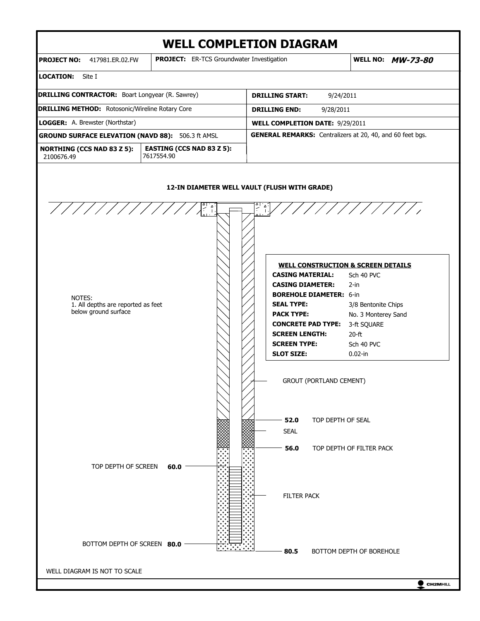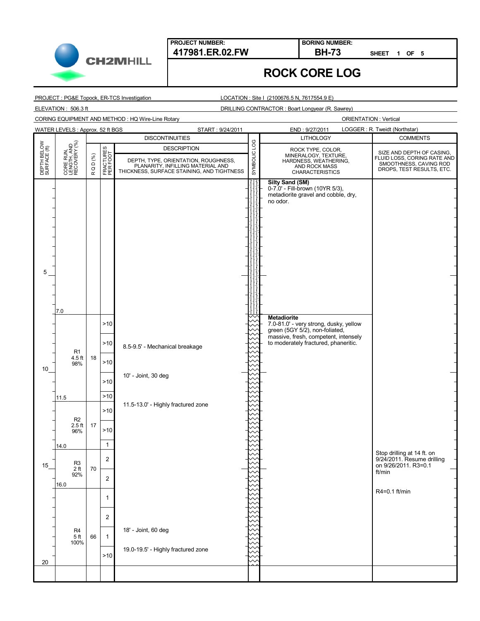

**PROJECT NUMBER: 417981.ER.02.FW BH-73**

**BORING NUMBER:**

**SHEET 1 OF 5**

## **ROCK CORE LOG**

PROJECT : PG&E Topock, ER-TCS Investigation

LOCATION : Site I (2100676.5 N, 7617554.9 E)

ELEVATION : 506.3 ft DRILLING CONTRACTOR : Boart Longyear (R. Sawrey)

CORING EQUIPMENT AND METHOD : HQ Wire-Line Rotary

|                             | WATER LEVELS: Approx. 52 ft BGS<br>LOGGER: R. Tweidt (Northstar)<br>START: 9/24/2011<br>END: 9/27/2011 |           |                       |                                                                                 |              |                                                                                                              |                                                          |
|-----------------------------|--------------------------------------------------------------------------------------------------------|-----------|-----------------------|---------------------------------------------------------------------------------|--------------|--------------------------------------------------------------------------------------------------------------|----------------------------------------------------------|
|                             |                                                                                                        |           |                       | <b>DISCONTINUITIES</b>                                                          |              | <b>LITHOLOGY</b>                                                                                             | <b>COMMENTS</b>                                          |
| DEPTH BELOW<br>SURFACE (ft) |                                                                                                        |           |                       | <b>DESCRIPTION</b>                                                              |              | ROCK TYPE, COLOR,                                                                                            | SIZE AND DEPTH OF CASING,                                |
|                             | CORE RUN,<br>LENGTH, AND<br>RECOVERY (%)                                                               | Q D (%)   | FRACTURES<br>PER FOOT | DEPTH, TYPE, ORIENTATION, ROUGHNESS,                                            | SYMBOLIC LOG | MINERALOGY, TEXTURE,<br>HARDNESS, WEATHERING,                                                                | FLUID LOSS, CORING RATE AND<br>SMOOTHNESS, CAVING ROD    |
|                             |                                                                                                        | $\propto$ |                       | PLANARITY, INFILLING MATERIAL AND<br>THICKNESS, SURFACE STAINING, AND TIGHTNESS |              | AND ROCK MASS<br><b>CHARACTERISTICS</b>                                                                      | DROPS, TEST RESULTS, ETC.                                |
|                             |                                                                                                        |           |                       |                                                                                 |              | <b>Silty Sand (SM)</b><br>0-7.0' - Fill-brown (10YR 5/3),<br>metadiorite gravel and cobble, dry,<br>no odor. |                                                          |
|                             |                                                                                                        |           |                       |                                                                                 |              |                                                                                                              |                                                          |
|                             |                                                                                                        |           |                       |                                                                                 |              |                                                                                                              |                                                          |
|                             |                                                                                                        |           |                       |                                                                                 |              |                                                                                                              |                                                          |
| 5                           |                                                                                                        |           |                       |                                                                                 |              |                                                                                                              |                                                          |
|                             |                                                                                                        |           |                       |                                                                                 |              |                                                                                                              |                                                          |
|                             | 7.0                                                                                                    |           |                       |                                                                                 |              |                                                                                                              |                                                          |
|                             |                                                                                                        |           | >10                   |                                                                                 |              | <b>Metadiorite</b><br>7.0-81.0' - very strong, dusky, yellow<br>green (5GY 5/2), non-foliated,               |                                                          |
|                             | R <sub>1</sub>                                                                                         |           | >10                   | 8.5-9.5' - Mechanical breakage                                                  |              | massive, fresh, competent, intensely<br>to moderately fractured, phaneritic.                                 |                                                          |
| 10                          | $4.5$ ft<br>98%                                                                                        | 18        | >10                   |                                                                                 |              |                                                                                                              |                                                          |
|                             |                                                                                                        |           | >10                   | 10' - Joint, 30 deg                                                             |              |                                                                                                              |                                                          |
|                             | 11.5                                                                                                   |           | $>10$                 |                                                                                 |              |                                                                                                              |                                                          |
|                             |                                                                                                        |           | >10                   | 11.5-13.0' - Highly fractured zone                                              |              |                                                                                                              |                                                          |
|                             | R <sub>2</sub><br>$2.5$ ft<br>96%                                                                      | 17        | >10                   |                                                                                 |              |                                                                                                              |                                                          |
|                             | 14.0                                                                                                   |           | $\mathbf{1}$          |                                                                                 |              |                                                                                                              |                                                          |
|                             |                                                                                                        |           | $\overline{2}$        |                                                                                 |              |                                                                                                              | Stop drilling at 14 ft. on<br>9/24/2011. Resume drilling |
| 15                          | R <sub>3</sub><br>$2\,\mathrm{ft}$                                                                     | 70        |                       |                                                                                 |              |                                                                                                              | on 9/26/2011. R3=0.1<br>ft/min                           |
|                             | 92%<br>16.0                                                                                            |           | 2                     |                                                                                 |              |                                                                                                              |                                                          |
|                             |                                                                                                        |           | 1                     |                                                                                 |              |                                                                                                              | R4=0.1 ft/min                                            |
|                             |                                                                                                        |           | $\overline{2}$        |                                                                                 |              |                                                                                                              |                                                          |
|                             | R <sub>4</sub>                                                                                         |           |                       | 18' - Joint, 60 deg                                                             |              |                                                                                                              |                                                          |
|                             | 5 <sub>ft</sub><br>100%                                                                                | 66        | $\mathbf{1}$          |                                                                                 |              |                                                                                                              |                                                          |
|                             |                                                                                                        |           | >10                   | 19.0-19.5' - Highly fractured zone                                              |              |                                                                                                              |                                                          |
| 20                          |                                                                                                        |           |                       |                                                                                 |              |                                                                                                              |                                                          |
|                             |                                                                                                        |           |                       |                                                                                 |              |                                                                                                              |                                                          |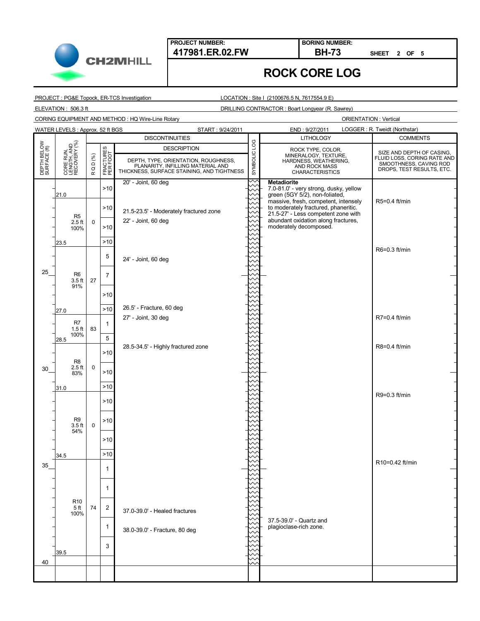**PROJECT NUMBER:**

**CH2MHILL** 

#### **417981.ER.02.FW BH-73 BORING NUMBER:**

**SHEET 2 OF 5**

# **ROCK CORE LOG**

PROJECT : PG&E Topock, ER-TCS Investigation

LOCATION : Site I (2100676.5 N, 7617554.9 E)

ELEVATION : 506.3 ft DRILLING CONTRACTOR : Boart Longyear (R. Sawrey)

CORING EQUIPMENT AND METHOD : HQ Wire-Line Rotary

|                             | WATER LEVELS: Approx. 52 ft BGS          |              |                       | START: 9/24/2011                                                                |              | LOGGER: R. Tweidt (Northstar)<br>END: 9/27/2011                             |                                                       |  |
|-----------------------------|------------------------------------------|--------------|-----------------------|---------------------------------------------------------------------------------|--------------|-----------------------------------------------------------------------------|-------------------------------------------------------|--|
|                             |                                          |              |                       | <b>DISCONTINUITIES</b>                                                          |              | <b>LITHOLOGY</b>                                                            | <b>COMMENTS</b>                                       |  |
|                             |                                          |              |                       | <b>DESCRIPTION</b>                                                              |              | ROCK TYPE, COLOR,                                                           | SIZE AND DEPTH OF CASING,                             |  |
|                             |                                          |              |                       | DEPTH, TYPE, ORIENTATION, ROUGHNESS,                                            |              | MINERALOGY, TEXTURE,<br>HARDNESS, WEATHERING,                               | FLUID LOSS, CORING RATE AND<br>SMOOTHNESS, CAVING ROD |  |
| DEPTH BELOW<br>SURFACE (ft) | CORE RUN,<br>LENGTH, AND<br>RECOVERY (%) | RQD(%)       | FRACTURES<br>PER FOOT | PLANARITY, INFILLING MATERIAL AND<br>THICKNESS, SURFACE STAINING, AND TIGHTNESS | SYMBOLIC LOG | AND ROCK MASS<br><b>CHARACTERISTICS</b>                                     | DROPS, TEST RESULTS, ETC.                             |  |
|                             |                                          |              |                       | 20' - Joint, 60 deg                                                             |              | <b>Metadiorite</b>                                                          |                                                       |  |
|                             | 21.0                                     |              | >10                   |                                                                                 |              | 7.0-81.0' - very strong, dusky, yellow<br>green (5GY 5/2), non-foliated,    |                                                       |  |
|                             |                                          |              |                       |                                                                                 |              | massive, fresh, competent, intensely                                        | R5=0.4 ft/min                                         |  |
|                             | R <sub>5</sub>                           |              | >10                   | 21.5-23.5' - Moderately fractured zone                                          |              | to moderately fractured, phaneritic.<br>21.5-27' - Less competent zone with |                                                       |  |
|                             | $2.5$ ft                                 | 0            | $>10$                 | 22' - Joint, 60 deg                                                             |              | abundant oxidation along fractures,<br>moderately decomposed.               |                                                       |  |
|                             | 100%                                     |              |                       |                                                                                 |              |                                                                             |                                                       |  |
|                             | 23.5                                     |              | $>10$                 |                                                                                 |              |                                                                             |                                                       |  |
|                             |                                          |              | 5                     | 24' - Joint, 60 deg                                                             |              |                                                                             | R6=0.3 ft/min                                         |  |
|                             |                                          |              |                       |                                                                                 |              |                                                                             |                                                       |  |
| 25                          | R <sub>6</sub>                           |              | $\overline{7}$        |                                                                                 |              |                                                                             |                                                       |  |
|                             | $3.5$ ft<br>91%                          | 27           |                       |                                                                                 |              |                                                                             |                                                       |  |
|                             |                                          |              | >10                   |                                                                                 |              |                                                                             |                                                       |  |
|                             | 27.0                                     |              | $>10$                 | 26.5' - Fracture, 60 deg                                                        |              |                                                                             |                                                       |  |
|                             |                                          |              |                       | 27' - Joint, 30 deg                                                             |              |                                                                             | R7=0.4 ft/min                                         |  |
|                             | R7<br>$1.5$ ft                           | 83           | $\mathbf{1}$          |                                                                                 |              |                                                                             |                                                       |  |
|                             | 100%<br>28.5                             |              | 5                     |                                                                                 |              |                                                                             |                                                       |  |
|                             |                                          |              | >10                   | 28.5-34.5' - Highly fractured zone                                              |              |                                                                             | R8=0.4 ft/min                                         |  |
|                             | R <sub>8</sub>                           |              |                       |                                                                                 |              |                                                                             |                                                       |  |
| 30                          | $2.5$ ft<br>83%                          | $\mathbf 0$  | >10                   |                                                                                 |              |                                                                             |                                                       |  |
|                             |                                          |              |                       |                                                                                 |              |                                                                             |                                                       |  |
|                             | 31.0                                     |              | >10                   |                                                                                 |              |                                                                             | R9=0.3 ft/min                                         |  |
|                             |                                          |              | >10                   |                                                                                 |              |                                                                             |                                                       |  |
|                             |                                          |              |                       |                                                                                 |              |                                                                             |                                                       |  |
|                             | R <sub>9</sub><br>3.5 <sub>ft</sub>      | $\mathsf{O}$ | $>10$                 |                                                                                 |              |                                                                             |                                                       |  |
|                             | 54%                                      |              |                       |                                                                                 |              |                                                                             |                                                       |  |
|                             |                                          |              | >10                   |                                                                                 |              |                                                                             |                                                       |  |
|                             | 34.5                                     |              | >10                   |                                                                                 |              |                                                                             |                                                       |  |
| 35                          |                                          |              | 1                     |                                                                                 |              |                                                                             | R10=0.42 ft/min                                       |  |
|                             |                                          |              |                       |                                                                                 |              |                                                                             |                                                       |  |
|                             |                                          |              | 1                     |                                                                                 |              |                                                                             |                                                       |  |
|                             |                                          |              |                       |                                                                                 |              |                                                                             |                                                       |  |
|                             | R <sub>10</sub><br>5ft                   | 74           | 2                     |                                                                                 |              |                                                                             |                                                       |  |
|                             | 100%                                     |              |                       | 37.0-39.0' - Healed fractures                                                   |              | 37.5-39.0' - Quartz and                                                     |                                                       |  |
|                             |                                          |              | $\mathbf{1}$          | 38.0-39.0' - Fracture, 80 deg                                                   |              | plagioclase-rich zone.                                                      |                                                       |  |
|                             |                                          |              |                       |                                                                                 |              |                                                                             |                                                       |  |
|                             |                                          |              | 3                     |                                                                                 |              |                                                                             |                                                       |  |
|                             | 39.5                                     |              |                       |                                                                                 |              |                                                                             |                                                       |  |
| 40                          |                                          |              |                       |                                                                                 |              |                                                                             |                                                       |  |
|                             |                                          |              |                       |                                                                                 |              |                                                                             |                                                       |  |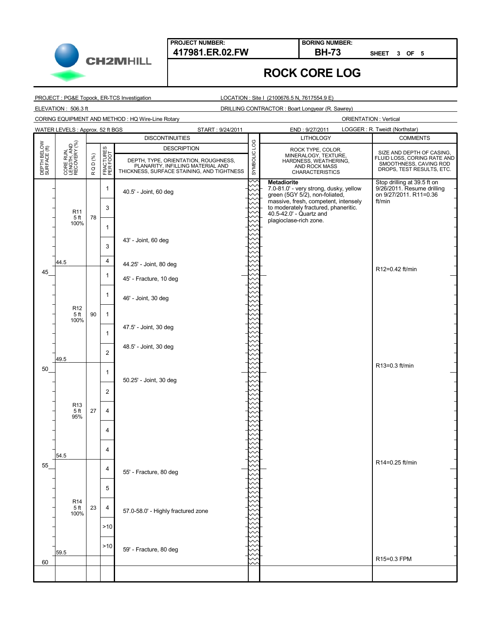

**BORING NUMBER:**

**SHEET 3 OF 5**

## **ROCK CORE LOG**

PROJECT : PG&E Topock, ER-TCS Investigation

LOCATION : Site I (2100676.5 N, 7617554.9 E)

ELEVATION : 506.3 ft DRILLING CONTRACTOR : Boart Longyear (R. Sawrey)

CORING EQUIPMENT AND METHOD : HQ Wire-Line Rotary

**CH2MHILL** 

|                             | WATER LEVELS: Approx. 52 ft BGS<br>LOGGER: R. Tweidt (Northstar)<br>START: 9/24/2011<br>END: 9/27/2011 |           |                       |                                                                                 |              |                                                                        |                                  |  |                  |  |                    |  |                                      |                           |
|-----------------------------|--------------------------------------------------------------------------------------------------------|-----------|-----------------------|---------------------------------------------------------------------------------|--------------|------------------------------------------------------------------------|----------------------------------|--|------------------|--|--------------------|--|--------------------------------------|---------------------------|
|                             |                                                                                                        |           |                       | <b>DISCONTINUITIES</b>                                                          |              | <b>LITHOLOGY</b>                                                       | <b>COMMENTS</b>                  |  |                  |  |                    |  |                                      |                           |
| DEPTH BELOW<br>SURFACE (ft) |                                                                                                        |           |                       |                                                                                 |              |                                                                        |                                  |  | QD $(^{96}_{6})$ |  | <b>DESCRIPTION</b> |  | ROCK TYPE, COLOR,                    | SIZE AND DEPTH OF CASING, |
|                             |                                                                                                        |           |                       |                                                                                 |              |                                                                        |                                  |  |                  |  |                    |  | DEPTH, TYPE, ORIENTATION, ROUGHNESS, |                           |
|                             | CORE RUN,<br>LENGTH, AND<br>RECOVERY (%)                                                               | $\propto$ | FRACTURES<br>PER FOOT | PLANARITY, INFILLING MATERIAL AND<br>THICKNESS, SURFACE STAINING, AND TIGHTNESS | SYMBOLIC LOG | AND ROCK MASS<br><b>CHARACTERISTICS</b>                                | DROPS, TEST RESULTS, ETC.        |  |                  |  |                    |  |                                      |                           |
|                             |                                                                                                        |           |                       |                                                                                 |              | <b>Metadiorite</b>                                                     | Stop drilling at 39.5 ft on      |  |                  |  |                    |  |                                      |                           |
|                             |                                                                                                        |           | $\mathbf{1}$          | 40.5' - Joint, 60 deg                                                           |              | 7.0-81.0' - very strong, dusky, yellow                                 | 9/26/2011. Resume drilling       |  |                  |  |                    |  |                                      |                           |
|                             |                                                                                                        | 78        |                       |                                                                                 |              | green (5GY 5/2), non-foliated,<br>massive, fresh, competent, intensely | on 9/27/2011. R11=0.36<br>ft/min |  |                  |  |                    |  |                                      |                           |
|                             | R <sub>11</sub>                                                                                        |           | 3                     |                                                                                 |              | to moderately fractured, phaneritic.                                   |                                  |  |                  |  |                    |  |                                      |                           |
|                             | 5 <sub>ft</sub>                                                                                        |           |                       |                                                                                 |              | 40.5-42.0' - Quartz and<br>plagioclase-rich zone.                      |                                  |  |                  |  |                    |  |                                      |                           |
|                             | 100%                                                                                                   |           | $\mathbf{1}$          |                                                                                 |              |                                                                        |                                  |  |                  |  |                    |  |                                      |                           |
|                             |                                                                                                        |           |                       | 43' - Joint, 60 deg                                                             |              |                                                                        |                                  |  |                  |  |                    |  |                                      |                           |
|                             |                                                                                                        |           | 3                     |                                                                                 |              |                                                                        |                                  |  |                  |  |                    |  |                                      |                           |
|                             |                                                                                                        |           | 4                     |                                                                                 |              |                                                                        |                                  |  |                  |  |                    |  |                                      |                           |
|                             | 44.5                                                                                                   |           |                       | 44.25' - Joint, 80 deg                                                          |              |                                                                        | R12=0.42 ft/min                  |  |                  |  |                    |  |                                      |                           |
| 45                          |                                                                                                        |           | 1                     | 45' - Fracture, 10 deg                                                          |              |                                                                        |                                  |  |                  |  |                    |  |                                      |                           |
|                             |                                                                                                        |           |                       |                                                                                 |              |                                                                        |                                  |  |                  |  |                    |  |                                      |                           |
|                             |                                                                                                        |           | $\mathbf{1}$          | 46' - Joint, 30 deg                                                             |              |                                                                        |                                  |  |                  |  |                    |  |                                      |                           |
|                             | R <sub>12</sub>                                                                                        |           |                       |                                                                                 |              |                                                                        |                                  |  |                  |  |                    |  |                                      |                           |
|                             | 5 <sub>ft</sub>                                                                                        | 90        | $\mathbf{1}$          |                                                                                 |              |                                                                        |                                  |  |                  |  |                    |  |                                      |                           |
|                             | 100%                                                                                                   |           |                       | 47.5' - Joint, 30 deg                                                           |              |                                                                        |                                  |  |                  |  |                    |  |                                      |                           |
|                             |                                                                                                        |           | 1                     |                                                                                 |              |                                                                        |                                  |  |                  |  |                    |  |                                      |                           |
|                             |                                                                                                        |           |                       | 48.5' - Joint, 30 deg                                                           |              |                                                                        |                                  |  |                  |  |                    |  |                                      |                           |
|                             |                                                                                                        |           | $\overline{2}$        |                                                                                 |              |                                                                        |                                  |  |                  |  |                    |  |                                      |                           |
|                             | 49.5                                                                                                   |           |                       |                                                                                 |              |                                                                        | R13=0.3 ft/min                   |  |                  |  |                    |  |                                      |                           |
| 50                          |                                                                                                        |           | $\mathbf{1}$          |                                                                                 |              |                                                                        |                                  |  |                  |  |                    |  |                                      |                           |
|                             |                                                                                                        |           |                       | 50.25' - Joint, 30 deg                                                          |              |                                                                        |                                  |  |                  |  |                    |  |                                      |                           |
|                             |                                                                                                        |           | $\overline{2}$        |                                                                                 |              |                                                                        |                                  |  |                  |  |                    |  |                                      |                           |
|                             | R <sub>13</sub>                                                                                        |           |                       |                                                                                 |              |                                                                        |                                  |  |                  |  |                    |  |                                      |                           |
|                             | 5 <sub>ft</sub><br>95%                                                                                 | 27        | $\overline{4}$        |                                                                                 |              |                                                                        |                                  |  |                  |  |                    |  |                                      |                           |
|                             |                                                                                                        |           |                       |                                                                                 |              |                                                                        |                                  |  |                  |  |                    |  |                                      |                           |
|                             |                                                                                                        |           | 4                     |                                                                                 |              |                                                                        |                                  |  |                  |  |                    |  |                                      |                           |
|                             |                                                                                                        |           |                       |                                                                                 |              |                                                                        |                                  |  |                  |  |                    |  |                                      |                           |
|                             | 54.5                                                                                                   |           | 4                     |                                                                                 |              |                                                                        |                                  |  |                  |  |                    |  |                                      |                           |
| 55                          |                                                                                                        | 4         |                       |                                                                                 |              |                                                                        | R14=0.25 ft/min                  |  |                  |  |                    |  |                                      |                           |
|                             |                                                                                                        |           |                       | 55' - Fracture, 80 deg                                                          |              |                                                                        |                                  |  |                  |  |                    |  |                                      |                           |
|                             |                                                                                                        |           |                       |                                                                                 |              |                                                                        |                                  |  |                  |  |                    |  |                                      |                           |
|                             |                                                                                                        |           | 5                     |                                                                                 |              |                                                                        |                                  |  |                  |  |                    |  |                                      |                           |
|                             | <b>R14</b>                                                                                             |           |                       |                                                                                 |              |                                                                        |                                  |  |                  |  |                    |  |                                      |                           |
|                             | 5 <sup>ft</sup><br>100%                                                                                | 23        | 4                     | 57.0-58.0' - Highly fractured zone                                              |              |                                                                        |                                  |  |                  |  |                    |  |                                      |                           |
|                             |                                                                                                        |           |                       |                                                                                 |              |                                                                        |                                  |  |                  |  |                    |  |                                      |                           |
|                             |                                                                                                        |           | >10                   |                                                                                 |              |                                                                        |                                  |  |                  |  |                    |  |                                      |                           |
|                             |                                                                                                        |           |                       |                                                                                 |              |                                                                        |                                  |  |                  |  |                    |  |                                      |                           |
|                             | 59.5                                                                                                   |           | >10                   | 59' - Fracture, 80 deg                                                          |              |                                                                        |                                  |  |                  |  |                    |  |                                      |                           |
| 60                          |                                                                                                        |           |                       |                                                                                 |              |                                                                        | R15=0.3 FPM                      |  |                  |  |                    |  |                                      |                           |
|                             |                                                                                                        |           |                       |                                                                                 |              |                                                                        |                                  |  |                  |  |                    |  |                                      |                           |
|                             |                                                                                                        |           |                       |                                                                                 |              |                                                                        |                                  |  |                  |  |                    |  |                                      |                           |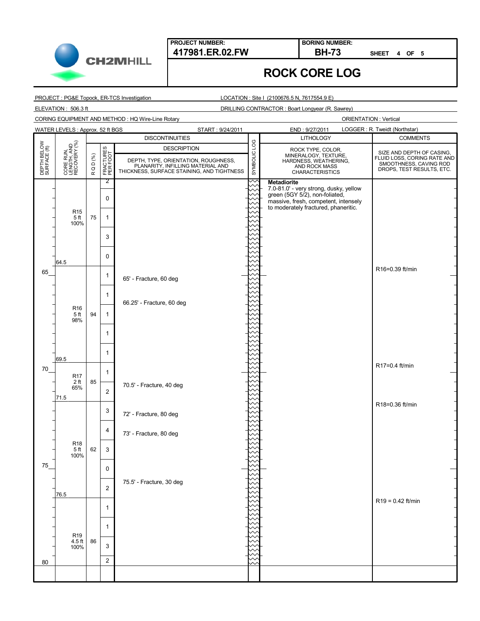

**BORING NUMBER:**

**SHEET 4 OF 5**

## **ROCK CORE LOG**

PROJECT : PG&E Topock, ER-TCS Investigation

LOCATION : Site I (2100676.5 N, 7617554.9 E)

ELEVATION : 506.3 ft DRILLING CONTRACTOR : Boart Longyear (R. Sawrey)

CORING EQUIPMENT AND METHOD : HQ Wire-Line Rotary

**CH2MHILL** 

| <b>WATER LEVELS: Approx. 52 ft BGS</b><br>START: 9/24/2011 |                                          |        |                       |                                                                                 |  | LOGGER: R. Tweidt (Northstar)<br>END: 9/27/2011                              |                                                     |  |  |                    |              |                   |                           |
|------------------------------------------------------------|------------------------------------------|--------|-----------------------|---------------------------------------------------------------------------------|--|------------------------------------------------------------------------------|-----------------------------------------------------|--|--|--------------------|--------------|-------------------|---------------------------|
|                                                            |                                          |        |                       | <b>DISCONTINUITIES</b>                                                          |  | <b>LITHOLOGY</b>                                                             | <b>COMMENTS</b>                                     |  |  |                    |              |                   |                           |
| DEPTH BELOW<br>SURFACE (ft)                                | CORE RUN,<br>LENGTH, AND<br>RECOVERY (%) |        |                       |                                                                                 |  |                                                                              |                                                     |  |  | <b>DESCRIPTION</b> | SYMBOLIC LOG | ROCK TYPE, COLOR, | SIZE AND DEPTH OF CASING, |
|                                                            |                                          |        | FRACTURES<br>PER FOOT | DEPTH, TYPE, ORIENTATION, ROUGHNESS,                                            |  | MINERALOGY, TEXTURE,<br>HARDNESS, WEATHERING,                                | FLUID LOSS, CORING RATE AND                         |  |  |                    |              |                   |                           |
|                                                            |                                          | RQD(%) |                       | PLANARITY, INFILLING MATERIAL AND<br>THICKNESS, SURFACE STAINING, AND TIGHTNESS |  | AND ROCK MASS                                                                | SMOOTHNESS, CAVING ROD<br>DROPS, TEST RESULTS, ETC. |  |  |                    |              |                   |                           |
|                                                            |                                          |        |                       |                                                                                 |  | <b>CHARACTERISTICS</b>                                                       |                                                     |  |  |                    |              |                   |                           |
|                                                            |                                          |        | 2                     |                                                                                 |  | <b>Metadiorite</b><br>7.0-81.0' - very strong, dusky, yellow                 |                                                     |  |  |                    |              |                   |                           |
|                                                            |                                          |        | $\pmb{0}$             |                                                                                 |  | green (5GY 5/2), non-foliated,                                               |                                                     |  |  |                    |              |                   |                           |
|                                                            |                                          | 75     |                       |                                                                                 |  | massive, fresh, competent, intensely<br>to moderately fractured, phaneritic. |                                                     |  |  |                    |              |                   |                           |
|                                                            | R <sub>15</sub><br>5 <sub>ft</sub>       |        | $\mathbf{1}$          |                                                                                 |  |                                                                              |                                                     |  |  |                    |              |                   |                           |
|                                                            | 100%                                     |        |                       |                                                                                 |  |                                                                              |                                                     |  |  |                    |              |                   |                           |
|                                                            |                                          |        | 3                     |                                                                                 |  |                                                                              |                                                     |  |  |                    |              |                   |                           |
|                                                            |                                          |        |                       |                                                                                 |  |                                                                              |                                                     |  |  |                    |              |                   |                           |
|                                                            |                                          |        | 0                     |                                                                                 |  |                                                                              |                                                     |  |  |                    |              |                   |                           |
|                                                            | 64.5                                     |        |                       |                                                                                 |  |                                                                              |                                                     |  |  |                    |              |                   |                           |
| 65                                                         |                                          |        |                       |                                                                                 |  |                                                                              | R16=0.39 ft/min                                     |  |  |                    |              |                   |                           |
|                                                            |                                          |        | 1                     | 65' - Fracture, 60 deg                                                          |  |                                                                              |                                                     |  |  |                    |              |                   |                           |
|                                                            |                                          |        |                       |                                                                                 |  |                                                                              |                                                     |  |  |                    |              |                   |                           |
|                                                            |                                          |        | $\mathbf{1}$          | 66.25' - Fracture, 60 deg                                                       |  |                                                                              |                                                     |  |  |                    |              |                   |                           |
|                                                            | R <sub>16</sub>                          |        |                       |                                                                                 |  |                                                                              |                                                     |  |  |                    |              |                   |                           |
|                                                            | 5 <sub>ft</sub><br>98%                   | 94     | $\mathbf{1}$          |                                                                                 |  |                                                                              |                                                     |  |  |                    |              |                   |                           |
|                                                            |                                          |        |                       |                                                                                 |  |                                                                              |                                                     |  |  |                    |              |                   |                           |
|                                                            |                                          |        | 1                     |                                                                                 |  |                                                                              |                                                     |  |  |                    |              |                   |                           |
|                                                            |                                          |        |                       |                                                                                 |  |                                                                              |                                                     |  |  |                    |              |                   |                           |
|                                                            | 69.5                                     |        | $\mathbf{1}$          |                                                                                 |  |                                                                              |                                                     |  |  |                    |              |                   |                           |
| 70                                                         |                                          |        |                       |                                                                                 |  |                                                                              | R17=0.4 ft/min                                      |  |  |                    |              |                   |                           |
|                                                            | <b>R17</b><br>2 ft<br>65%                | 85     | $\mathbf{1}$          |                                                                                 |  |                                                                              |                                                     |  |  |                    |              |                   |                           |
|                                                            |                                          |        |                       | 70.5' - Fracture, 40 deg                                                        |  |                                                                              |                                                     |  |  |                    |              |                   |                           |
|                                                            | 71.5                                     |        | $\overline{2}$        |                                                                                 |  |                                                                              |                                                     |  |  |                    |              |                   |                           |
|                                                            |                                          |        |                       |                                                                                 |  |                                                                              | R18=0.36 ft/min                                     |  |  |                    |              |                   |                           |
|                                                            |                                          |        | 3                     | 72' - Fracture, 80 deg                                                          |  |                                                                              |                                                     |  |  |                    |              |                   |                           |
|                                                            |                                          |        |                       |                                                                                 |  |                                                                              |                                                     |  |  |                    |              |                   |                           |
|                                                            |                                          |        | 4                     | 73' - Fracture, 80 deg                                                          |  |                                                                              |                                                     |  |  |                    |              |                   |                           |
|                                                            | R <sub>18</sub>                          |        |                       |                                                                                 |  |                                                                              |                                                     |  |  |                    |              |                   |                           |
|                                                            | 5 <sub>ft</sub>                          | 62     | 3                     |                                                                                 |  |                                                                              |                                                     |  |  |                    |              |                   |                           |
|                                                            | 100%                                     |        |                       |                                                                                 |  |                                                                              |                                                     |  |  |                    |              |                   |                           |
| 75                                                         |                                          |        | 0                     |                                                                                 |  |                                                                              |                                                     |  |  |                    |              |                   |                           |
|                                                            |                                          |        |                       | 75.5' - Fracture, 30 deg                                                        |  |                                                                              |                                                     |  |  |                    |              |                   |                           |
|                                                            |                                          |        | $\overline{c}$        |                                                                                 |  |                                                                              |                                                     |  |  |                    |              |                   |                           |
|                                                            | 76.5                                     |        |                       |                                                                                 |  |                                                                              | $R19 = 0.42$ ft/min                                 |  |  |                    |              |                   |                           |
|                                                            |                                          |        | 1                     |                                                                                 |  |                                                                              |                                                     |  |  |                    |              |                   |                           |
|                                                            |                                          |        |                       |                                                                                 |  |                                                                              |                                                     |  |  |                    |              |                   |                           |
|                                                            |                                          |        | $\mathbf{1}$          |                                                                                 |  |                                                                              |                                                     |  |  |                    |              |                   |                           |
|                                                            | R <sub>19</sub>                          |        |                       |                                                                                 |  |                                                                              |                                                     |  |  |                    |              |                   |                           |
|                                                            | $4.5$ ft<br>100%                         | 86     | 3                     |                                                                                 |  |                                                                              |                                                     |  |  |                    |              |                   |                           |
|                                                            |                                          |        |                       |                                                                                 |  |                                                                              |                                                     |  |  |                    |              |                   |                           |
| 80                                                         |                                          |        | $\overline{2}$        |                                                                                 |  |                                                                              |                                                     |  |  |                    |              |                   |                           |
|                                                            |                                          |        |                       |                                                                                 |  |                                                                              |                                                     |  |  |                    |              |                   |                           |
|                                                            |                                          |        |                       |                                                                                 |  |                                                                              |                                                     |  |  |                    |              |                   |                           |